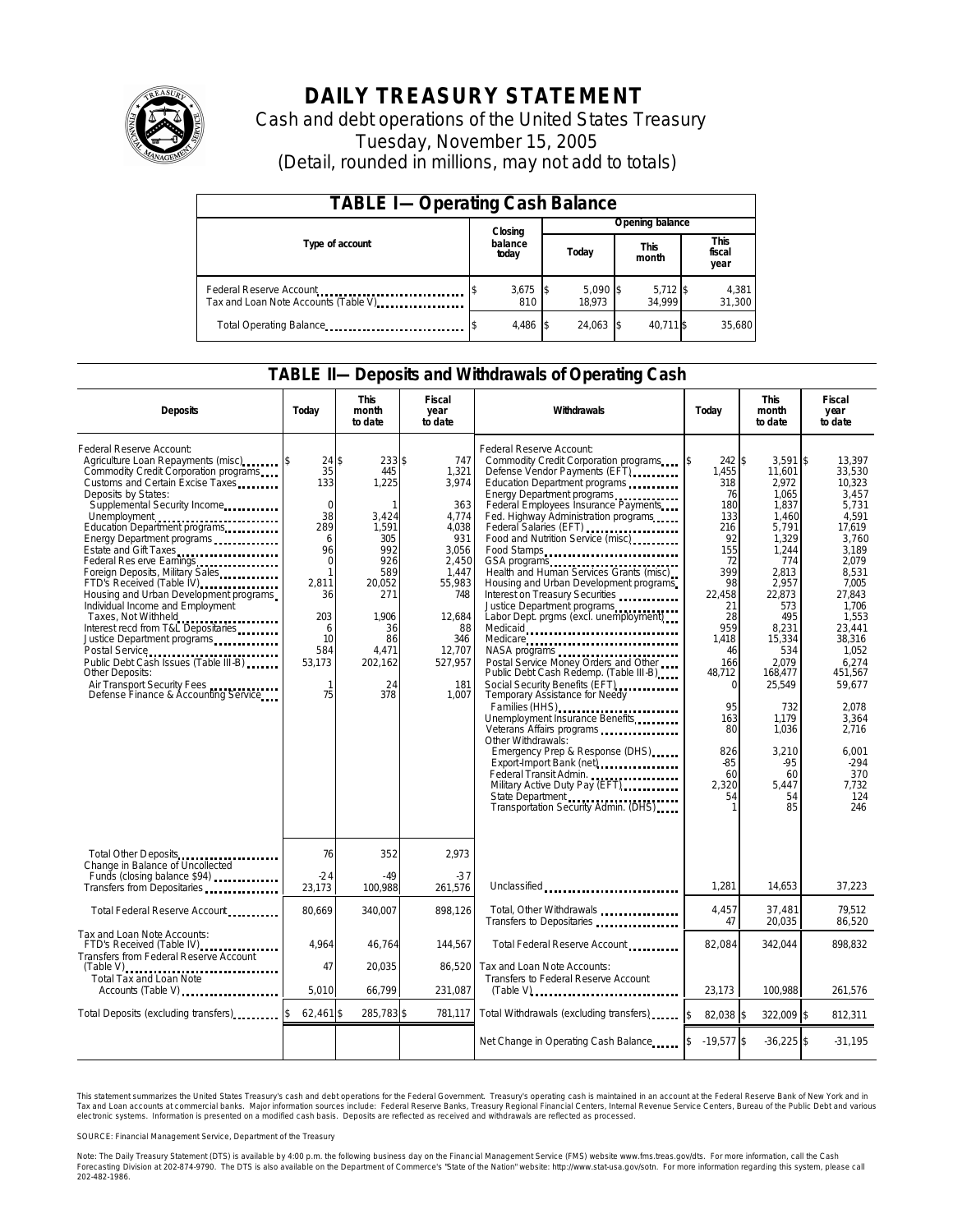

# **DAILY TREASURY STATEMENT**

Cash and debt operations of the United States Treasury Tuesday, November 15, 2005 (Detail, rounded in millions, may not add to totals)

| <b>TABLE I-Operating Cash Balance</b>                           |                  |              |       |                      |                      |                      |                               |                 |  |  |
|-----------------------------------------------------------------|------------------|--------------|-------|----------------------|----------------------|----------------------|-------------------------------|-----------------|--|--|
|                                                                 |                  | Closing      |       | Opening balance      |                      |                      |                               |                 |  |  |
| Type of account                                                 | balance<br>today |              | Today |                      | <b>This</b><br>month |                      | <b>This</b><br>fiscal<br>year |                 |  |  |
| Federal Reserve Account<br>Tax and Loan Note Accounts (Table V) |                  | 3,675<br>810 |       | $5,090$ \$<br>18.973 |                      | $5,712$ \$<br>34.999 |                               | 4,381<br>31,300 |  |  |
| Total Operating Balance                                         |                  | 4,486        |       | 24.063               |                      | 40.711 \$            |                               | 35,680          |  |  |

### **TABLE II—Deposits and Withdrawals of Operating Cash**

| <b>Deposits</b>                                                                                                                                                                                                                                                                                                                                                                                                                                                                                                                                                                                                                                                                                            | Today                                                                                                                                                       | <b>This</b><br>month<br>to date                                                                                                                  | <b>Fiscal</b><br>year<br>to date                                                                                                                              | Withdrawals                                                                                                                                                                                                                                                                                                                                                                                                                                                                                                                                                                                                                                                                                                                                                                                                                                                                                                                                                                                                                                                                                                                                                                                                                        | Today                                                                                                                                                                                                                    | <b>This</b><br>month<br>to date                                                                                                                                                                                                                                    | <b>Fiscal</b><br>year<br>to date                                                                                                                                                                                                                                                |
|------------------------------------------------------------------------------------------------------------------------------------------------------------------------------------------------------------------------------------------------------------------------------------------------------------------------------------------------------------------------------------------------------------------------------------------------------------------------------------------------------------------------------------------------------------------------------------------------------------------------------------------------------------------------------------------------------------|-------------------------------------------------------------------------------------------------------------------------------------------------------------|--------------------------------------------------------------------------------------------------------------------------------------------------|---------------------------------------------------------------------------------------------------------------------------------------------------------------|------------------------------------------------------------------------------------------------------------------------------------------------------------------------------------------------------------------------------------------------------------------------------------------------------------------------------------------------------------------------------------------------------------------------------------------------------------------------------------------------------------------------------------------------------------------------------------------------------------------------------------------------------------------------------------------------------------------------------------------------------------------------------------------------------------------------------------------------------------------------------------------------------------------------------------------------------------------------------------------------------------------------------------------------------------------------------------------------------------------------------------------------------------------------------------------------------------------------------------|--------------------------------------------------------------------------------------------------------------------------------------------------------------------------------------------------------------------------|--------------------------------------------------------------------------------------------------------------------------------------------------------------------------------------------------------------------------------------------------------------------|---------------------------------------------------------------------------------------------------------------------------------------------------------------------------------------------------------------------------------------------------------------------------------|
| Federal Reserve Account:<br>Agriculture Loan Repayments (misc) [\$<br>Commodity Credit Corporation programs<br>Customs and Certain Excise Taxes<br>Deposits by States:<br>Supplemental Security Income<br>Education Department programs<br>Energy Department programs<br>Estate and Gift Taxes<br>Federal Res erve Earnings<br>Foreign Deposits, Military Sales<br>FTD's Received (Table IV)<br>Housing and Urban Development programs<br>Individual Income and Employment<br>Taxes, Not Withheld<br>Interest recd from T&L Depositaries<br>Justice Department programs<br>Public Debt Cash Issues (Table III-B)<br>Other Deposits:<br>Air Transport Security Fees<br>Defense Finance & Accounting Service | 24S<br>35<br>133<br>$\mathbf 0$<br>38<br>289<br>6<br>96<br>$\Omega$<br>$\mathbf{1}$<br>2,811<br>36<br>203<br>6<br>10<br>584<br>53,173<br>$\mathbf{1}$<br>75 | 233 \$<br>445<br>1,225<br>1<br>3,424<br>1,591<br>305<br>992<br>926<br>589<br>20,052<br>271<br>1.906<br>36<br>86<br>4,471<br>202,162<br>24<br>378 | 747<br>1,321<br>3,974<br>363<br>4.774<br>4,038<br>931<br>3.056<br>2.450<br>1.447<br>55,983<br>748<br>12.684<br>88<br>346<br>12.707<br>527,957<br>181<br>1,007 | Federal Reserve Account:<br>Commodity Credit Corporation programs<br>Defense Vendor Payments (EFT)<br>Education Department programs<br>Energy Department programs<br>Federal Employees Insurance Payments<br>Fed. Highway Administration programs<br>Federal Salaries (EFT)<br>Federal Salaries (EFT)<br>Food and Nutrition Service (misc)<br>Food Stamps<br>GSA programs<br>Health and Human Services Grants (misc)<br>Housing and Urban Development programs<br>Interest on Treasury Securities<br>Justice Department programs<br>Labor Dept. prgms (excl. unemployment)<br>Medicaid<br>Medicare<br>Postal Service Money Orders and Other<br>Public Debt Cash Redemp. (Table III-B)<br>Social Security Benefits (EFT)<br>Temporary Assistance for Needy<br>Families (HHS)<br>Unemployment Insurance Benefits<br>Other Withdrawals:<br>Emergency Prep & Response (DHS)<br>Export-Import Bank (net)<br>1999 - The Mann Control of The Mann Control of the Mann Control of The Mann Control of The Mann Control of The Mann Control of The Mann Control of The Mann Control of The Mann Control of The Mann<br>Federal Transit Admin.<br>Military Active Duty Pay (EFT)<br>State Department<br>Transportation Security Admin. (DHS) | 242 \$<br>ß.<br>1,455<br>318<br>76<br>180<br>133<br>216<br>92<br>155<br>72<br>399<br>98<br>22,458<br>21<br>28<br>959<br>1.418<br>46<br>166<br>48,712<br>$\Omega$<br>95<br>163<br>80<br>826<br>$-85$<br>60<br>2,320<br>54 | $3.591$ \$<br>11,601<br>2,972<br>1.065<br>1,837<br>1.460<br>5,791<br>1,329<br>1.244<br>774<br>2,813<br>2,957<br>22.873<br>573<br>495<br>8,231<br>15,334<br>534<br>2,079<br>168,477<br>25,549<br>732<br>1,179<br>1.036<br>3,210<br>$-95$<br>60<br>5,447<br>54<br>85 | 13.397<br>33,530<br>10,323<br>3.457<br>5,731<br>4.591<br>17,619<br>3.760<br>3.189<br>2.079<br>8.531<br>7,005<br>27.843<br>1.706<br>1,553<br>23.441<br>38.316<br>1.052<br>6.274<br>451.567<br>59,677<br>2.078<br>3,364<br>2.716<br>6.001<br>$-294$<br>370<br>7,732<br>124<br>246 |
| Total Other Deposits<br>Change in Balance of Uncollected                                                                                                                                                                                                                                                                                                                                                                                                                                                                                                                                                                                                                                                   | 76                                                                                                                                                          | 352                                                                                                                                              | 2.973                                                                                                                                                         |                                                                                                                                                                                                                                                                                                                                                                                                                                                                                                                                                                                                                                                                                                                                                                                                                                                                                                                                                                                                                                                                                                                                                                                                                                    |                                                                                                                                                                                                                          |                                                                                                                                                                                                                                                                    |                                                                                                                                                                                                                                                                                 |
| Funds (closing balance \$94)<br>Transfers from Depositaries                                                                                                                                                                                                                                                                                                                                                                                                                                                                                                                                                                                                                                                | $-24$<br>23,173                                                                                                                                             | $-49$<br>100,988                                                                                                                                 | $-37$<br>261,576                                                                                                                                              | Unclassified                                                                                                                                                                                                                                                                                                                                                                                                                                                                                                                                                                                                                                                                                                                                                                                                                                                                                                                                                                                                                                                                                                                                                                                                                       | 1,281                                                                                                                                                                                                                    | 14,653                                                                                                                                                                                                                                                             | 37,223                                                                                                                                                                                                                                                                          |
| Total Federal Reserve Account                                                                                                                                                                                                                                                                                                                                                                                                                                                                                                                                                                                                                                                                              | 80,669                                                                                                                                                      | 340,007                                                                                                                                          | 898,126                                                                                                                                                       | Total, Other Withdrawals<br>Transfers to Depositaries                                                                                                                                                                                                                                                                                                                                                                                                                                                                                                                                                                                                                                                                                                                                                                                                                                                                                                                                                                                                                                                                                                                                                                              | 4,457<br>47                                                                                                                                                                                                              | 37,481<br>20,035                                                                                                                                                                                                                                                   | 79,512<br>86,520                                                                                                                                                                                                                                                                |
| Tax and Loan Note Accounts:<br>FTD's Received (Table IV)<br>Transfers from Federal Reserve Account                                                                                                                                                                                                                                                                                                                                                                                                                                                                                                                                                                                                         | 4.964                                                                                                                                                       | 46,764                                                                                                                                           | 144,567                                                                                                                                                       | Total Federal Reserve Account.                                                                                                                                                                                                                                                                                                                                                                                                                                                                                                                                                                                                                                                                                                                                                                                                                                                                                                                                                                                                                                                                                                                                                                                                     | 82.084                                                                                                                                                                                                                   | 342,044                                                                                                                                                                                                                                                            | 898.832                                                                                                                                                                                                                                                                         |
| $(Table V)$<br>Total Tax and Loan Note<br>Accounts (Table V)                                                                                                                                                                                                                                                                                                                                                                                                                                                                                                                                                                                                                                               | 47<br>5.010                                                                                                                                                 | 20.035<br>66,799                                                                                                                                 | 86.520<br>231,087                                                                                                                                             | Tax and Loan Note Accounts:<br>Transfers to Federal Reserve Account<br>$(Table V)$ , $\ldots$ , $\ldots$ , $\ldots$ , $\ldots$ , $\ldots$ , $\ldots$ , $\ldots$ , $\ldots$                                                                                                                                                                                                                                                                                                                                                                                                                                                                                                                                                                                                                                                                                                                                                                                                                                                                                                                                                                                                                                                         | 23,173                                                                                                                                                                                                                   | 100,988                                                                                                                                                                                                                                                            | 261,576                                                                                                                                                                                                                                                                         |
| Total Deposits (excluding transfers)                                                                                                                                                                                                                                                                                                                                                                                                                                                                                                                                                                                                                                                                       | 62,461 \$                                                                                                                                                   | 285,783 \$                                                                                                                                       | 781,117                                                                                                                                                       | Total Withdrawals (excluding transfers)                                                                                                                                                                                                                                                                                                                                                                                                                                                                                                                                                                                                                                                                                                                                                                                                                                                                                                                                                                                                                                                                                                                                                                                            | \$<br>82,038 \$                                                                                                                                                                                                          | 322,009 \$                                                                                                                                                                                                                                                         | 812,311                                                                                                                                                                                                                                                                         |
|                                                                                                                                                                                                                                                                                                                                                                                                                                                                                                                                                                                                                                                                                                            |                                                                                                                                                             |                                                                                                                                                  |                                                                                                                                                               | Net Change in Operating Cash Balance                                                                                                                                                                                                                                                                                                                                                                                                                                                                                                                                                                                                                                                                                                                                                                                                                                                                                                                                                                                                                                                                                                                                                                                               | $-19,577$ \$                                                                                                                                                                                                             | $-36,225$ \$                                                                                                                                                                                                                                                       | $-31,195$                                                                                                                                                                                                                                                                       |

This statement summarizes the United States Treasury's cash and debt operations for the Federal Government. Treasury's operating cash is maintained in an account at the Federal Reserve Bank of New York and in Tax and Loan accounts at commercial banks. Major information sources include: Federal Reserve Banks, Treasury Regional Financial Centers, Internal Revenue Service Centers, Bureau of the Public Debt and various<br>electronic s

SOURCE: Financial Management Service, Department of the Treasury

Note: The Daily Treasury Statement (DTS) is available by 4:00 p.m. the following business day on the Financial Management Service (FMS) website www.fms.treas.gov/dts.<br>Forecasting Division at 202-874-9790. The DTS is also a 'S) is available by 4:00 p.m. the following business day on the Financial Management Service (FMS) website www.fms.treas.gov/dts. For more information, call the Cash<br>The DTS is also available on the Department of Commerce'